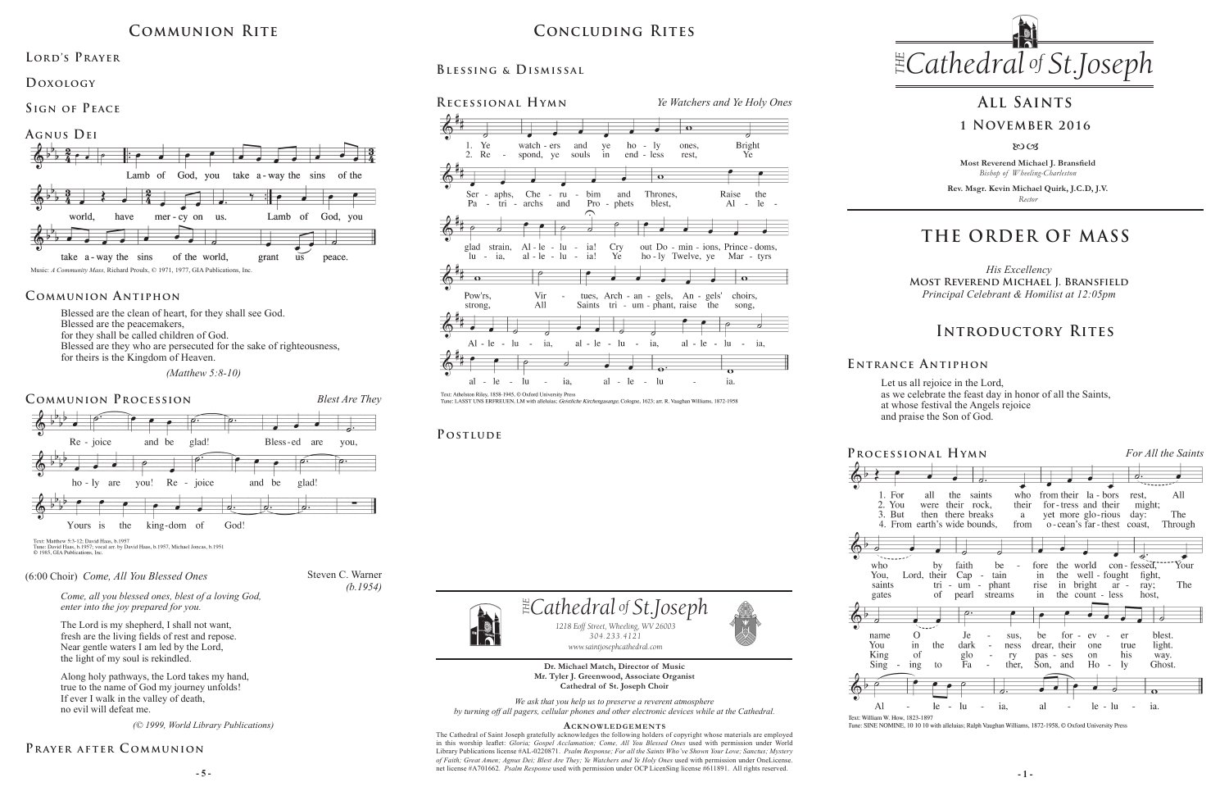**Most Reverend Michael J. Bransfield** *Bishop of Wheeling-Charleston*

**Rev. Msgr. Kevin Michael Quirk, J.C.D, J.V.** *Rector*



Let us all rejoice in the Lord, as we celebrate the feast day in honor of all the Saints, at whose festival the Angels rejoice and praise the Son of God.

**Dr. Michael Match, Director of Music Mr. Tyler J. Greenwood, Associate Organist Cathedral of St. Joseph Choir**

*We ask that you help us to preserve a reverent atmosphere by turning off all pagers, cellular phones and other electronic devices while at the Cathedral.*

**5 -**  $\overline{5}$  -  $\overline{5}$  -  $\overline{5}$  -  $\overline{5}$  -  $\overline{5}$  -  $\overline{5}$  -  $\overline{5}$  -  $\overline{5}$  -  $\overline{5}$  -  $\overline{5}$  -  $\overline{5}$  -  $\overline{5}$  -  $\overline{5}$  -  $\overline{5}$  -  $\overline{5}$  -  $\overline{5}$  -  $\overline{5}$  -  $\overline{5}$  -  $\overline{5}$  -  $\overline{5}$ The Cathedral of Saint Joseph gratefully acknowledges the following holders of copyright whose materials are employed in this worship leaflet: *Gloria; Gospel Acclamation; Come, All You Blessed Ones* used with permission under World Library Publications license #AL-0220871. *Psalm Response; For all the Saints Who've Shown Your Love; Sanctus; Mystery of Faith; Great Amen; Agnus Dei; Blest Are They; Ye Watchers and Ye Holy Ones* used with permission under OneLicense.

#### **Acknowledgement s**





 $\Phi^{\flat}$ 

who

You,

saints



 $\mathbf{Al}$ Text: William W How 1823-1897

*1218 Eoff Street, Wheeling, WV 26003 304.233.4121 304.233.4121 www.saintjosephcathedral.com*

# *Cathedral St THE of .Joseph* **Concluding Rites**

Blessed are the clean of heart, for they shall see God. Blessed are the peacemakers, for they shall be called children of God. Blessed are they who are persecuted for the sake of righteousness, for theirs is the Kingdom of Heaven.

 *(Matthew 5:8-10)*

## **THE ORDER OF MASS**

### **E ntrance A ntiphon**

## **Introductory Rites**

## **All Saints**

### **1 November 2016**

80CB

## **Communion Rite**

## **Communion Antiphon**

**Blessing & Dismissal**

watch - ers

spond, ye souls

and

Ye

 $\sim$ 

 $2.$ Re

## LORD'S PRAYER

**Recessional Hymn** *Ye Watchers and Ye Holy Ones*

ye

 $in$ 

ho

1y

 $end - less$ 

 $\overline{\bullet}$ 

ones.

rest.

**Bright** 

Ye



Tune: SINE NOMINE, 10 10 10 with alleluias; Ralph Vaughan Williams, 1872-1958, © Oxford University Press

## **P ostlude**



Text: Matthew 5:3-12; David Haas, b.1957<br>Tune: David Haas, b.1957; vocal arr. by David Haas, b.1957, Michael Joncas, b.1951<br>© 1985, GIA Publications, Inc.

**Doxology** 

**Sign of Peace** 



## **Prayer after C ommunion**



Fune: LASST UNS ERFREUEN, LM with alleluias; *Geistliche Kirchengasange*, Cologne, 1623; arr. R. Vaughan Williams, 1872-1958

Steven C. Warner

*(b.1954)*

#### (6:00 Choir) *Come, All You Blessed Ones*

*Come, all you blessed ones, blest of a loving God, enter into the joy prepared for you.*

The Lord is my shepherd, I shall not want, fresh are the living fields of rest and repose. Near gentle waters I am led by the Lord, the light of my soul is rekindled.

Along holy pathways, the Lord takes my hand, true to the name of God my journey unfolds! If ever I walk in the valley of death, no evil will defeat me.

*(© 1999, World Library Publications)*

*His Excellency* **Most Reverend Michael J. Bransfield** *Principal Celebrant & Homilist at 12:05pm*